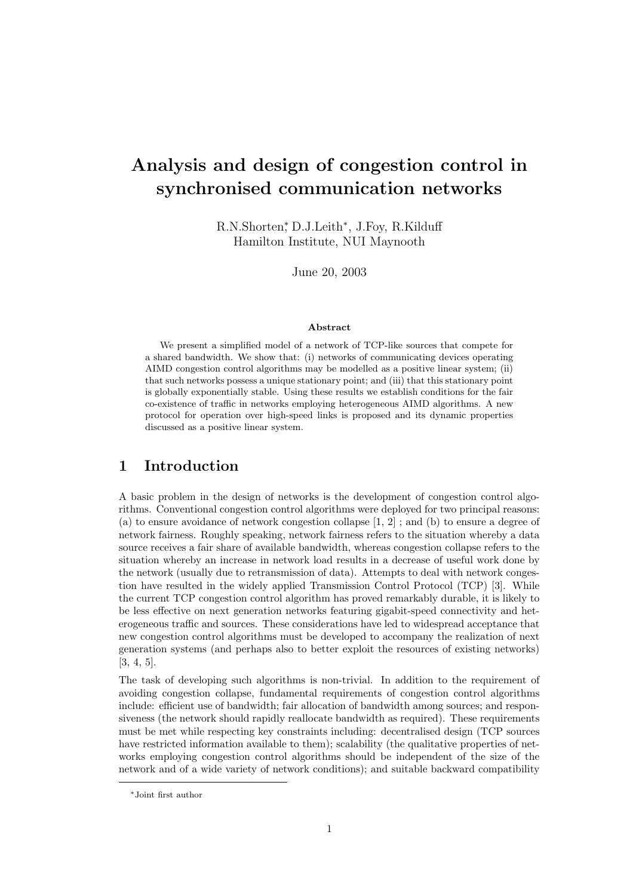# Analysis and design of congestion control in synchronised communication networks

R.N.Shorten<sup>\*</sup>, D.J.Leith<sup>\*</sup>, J.Foy, R.Kilduff Hamilton Institute, NUI Maynooth

June 20, 2003

#### Abstract

We present a simplified model of a network of TCP-like sources that compete for a shared bandwidth. We show that: (i) networks of communicating devices operating AIMD congestion control algorithms may be modelled as a positive linear system; (ii) that such networks possess a unique stationary point; and (iii) that this stationary point is globally exponentially stable. Using these results we establish conditions for the fair co-existence of traffic in networks employing heterogeneous AIMD algorithms. A new protocol for operation over high-speed links is proposed and its dynamic properties discussed as a positive linear system.

### 1 Introduction

A basic problem in the design of networks is the development of congestion control algorithms. Conventional congestion control algorithms were deployed for two principal reasons: (a) to ensure avoidance of network congestion collapse [1, 2] ; and (b) to ensure a degree of network fairness. Roughly speaking, network fairness refers to the situation whereby a data source receives a fair share of available bandwidth, whereas congestion collapse refers to the situation whereby an increase in network load results in a decrease of useful work done by the network (usually due to retransmission of data). Attempts to deal with network congestion have resulted in the widely applied Transmission Control Protocol (TCP) [3]. While the current TCP congestion control algorithm has proved remarkably durable, it is likely to be less effective on next generation networks featuring gigabit-speed connectivity and heterogeneous traffic and sources. These considerations have led to widespread acceptance that new congestion control algorithms must be developed to accompany the realization of next generation systems (and perhaps also to better exploit the resources of existing networks) [3, 4, 5].

The task of developing such algorithms is non-trivial. In addition to the requirement of avoiding congestion collapse, fundamental requirements of congestion control algorithms include: efficient use of bandwidth; fair allocation of bandwidth among sources; and responsiveness (the network should rapidly reallocate bandwidth as required). These requirements must be met while respecting key constraints including: decentralised design (TCP sources have restricted information available to them); scalability (the qualitative properties of networks employing congestion control algorithms should be independent of the size of the network and of a wide variety of network conditions); and suitable backward compatibility

<sup>∗</sup>Joint first author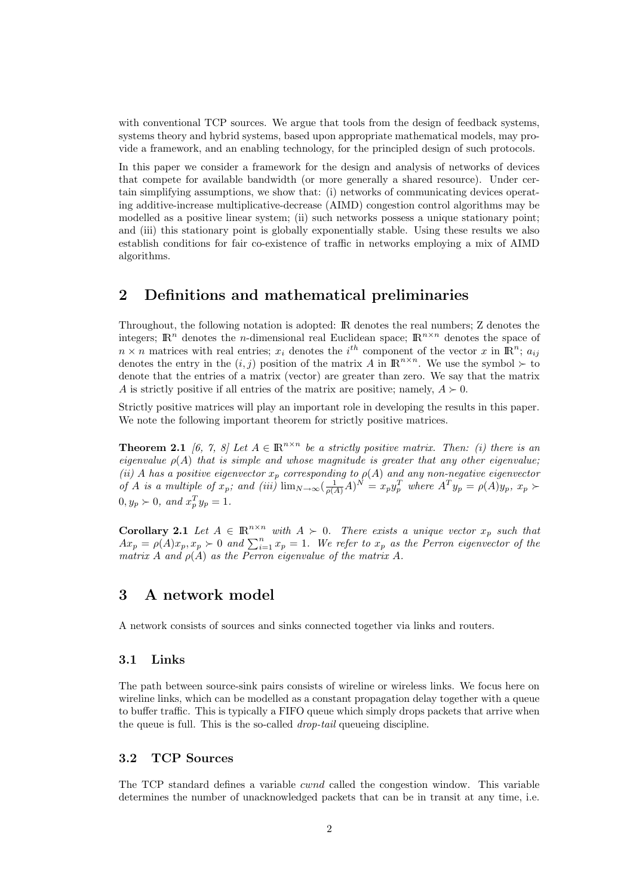with conventional TCP sources. We argue that tools from the design of feedback systems, systems theory and hybrid systems, based upon appropriate mathematical models, may provide a framework, and an enabling technology, for the principled design of such protocols.

In this paper we consider a framework for the design and analysis of networks of devices that compete for available bandwidth (or more generally a shared resource). Under certain simplifying assumptions, we show that: (i) networks of communicating devices operating additive-increase multiplicative-decrease (AIMD) congestion control algorithms may be modelled as a positive linear system; (ii) such networks possess a unique stationary point; and (iii) this stationary point is globally exponentially stable. Using these results we also establish conditions for fair co-existence of traffic in networks employing a mix of AIMD algorithms.

## 2 Definitions and mathematical preliminaries

Throughout, the following notation is adopted: IR denotes the real numbers; Z denotes the integers;  $\mathbb{R}^n$  denotes the *n*-dimensional real Euclidean space;  $\mathbb{R}^{n \times n}$  denotes the space of  $n \times n$  matrices with real entries;  $x_i$  denotes the i<sup>th</sup> component of the vector x in  $\mathbb{R}^n$ ;  $a_{ij}$ denotes the entry in the  $(i, j)$  position of the matrix A in  $\mathbb{R}^{n \times n}$ . We use the symbol  $\succ$  to denote that the entries of a matrix (vector) are greater than zero. We say that the matrix A is strictly positive if all entries of the matrix are positive; namely,  $A \succ 0$ .

Strictly positive matrices will play an important role in developing the results in this paper. We note the following important theorem for strictly positive matrices.

**Theorem 2.1** [6, 7, 8] Let  $A \in \mathbb{R}^{n \times n}$  be a strictly positive matrix. Then: (i) there is an eigenvalue  $\rho(A)$  that is simple and whose magnitude is greater that any other eigenvalue; (ii) A has a positive eigenvector  $x_p$  corresponding to  $\rho(A)$  and any non-negative eigenvector of A is a multiple of  $x_p$ ; and (iii)  $\lim_{N\to\infty} \left(\frac{1}{\rho(A)}A\right)^N = x_py_p^T$  where  $A^Ty_p = \rho(A)y_p$ ,  $x_p \succ$  $0, y_p \succ 0$ , and  $x_p^T y_p = 1$ .

**Corollary 2.1** Let  $A \in \mathbb{R}^{n \times n}$  with  $A \succ 0$ . There exists a unique vector  $x_p$  such that  $Ax_p = \rho(A)x_p, x_p \succ 0$  and  $\sum_{i=1}^n x_p = 1$ . We refer to  $x_p$  as the Perron eigenvector of the matrix A and  $\rho(A)$  as the Perron eigenvalue of the matrix A.

### 3 A network model

A network consists of sources and sinks connected together via links and routers.

#### 3.1 Links

The path between source-sink pairs consists of wireline or wireless links. We focus here on wireline links, which can be modelled as a constant propagation delay together with a queue to buffer traffic. This is typically a FIFO queue which simply drops packets that arrive when the queue is full. This is the so-called drop-tail queueing discipline.

#### 3.2 TCP Sources

The TCP standard defines a variable cwnd called the congestion window. This variable determines the number of unacknowledged packets that can be in transit at any time, i.e.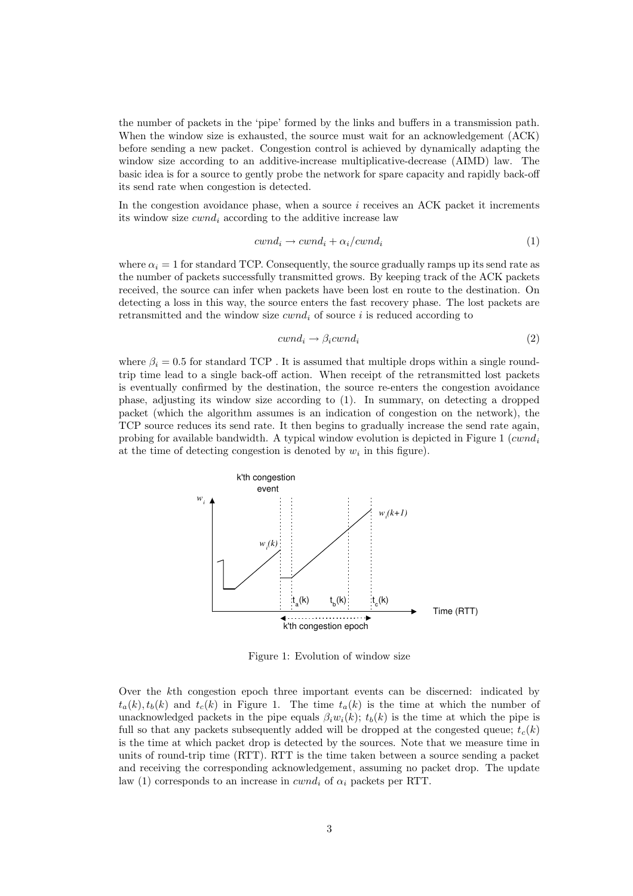the number of packets in the 'pipe' formed by the links and buffers in a transmission path. When the window size is exhausted, the source must wait for an acknowledgement (ACK) before sending a new packet. Congestion control is achieved by dynamically adapting the window size according to an additive-increase multiplicative-decrease (AIMD) law. The basic idea is for a source to gently probe the network for spare capacity and rapidly back-off its send rate when congestion is detected.

In the congestion avoidance phase, when a source  $i$  receives an ACK packet it increments its window size  $cwnd_i$  according to the additive increase law

$$
cwnd_i \rightarrow cwnd_i + \alpha_i/cwnd_i \tag{1}
$$

where  $\alpha_i = 1$  for standard TCP. Consequently, the source gradually ramps up its send rate as the number of packets successfully transmitted grows. By keeping track of the ACK packets received, the source can infer when packets have been lost en route to the destination. On detecting a loss in this way, the source enters the fast recovery phase. The lost packets are retransmitted and the window size  $cwnd_i$  of source i is reduced according to

$$
cwnd_i \rightarrow \beta_i cwnd_i \tag{2}
$$

where  $\beta_i = 0.5$  for standard TCP. It is assumed that multiple drops within a single roundtrip time lead to a single back-off action. When receipt of the retransmitted lost packets is eventually confirmed by the destination, the source re-enters the congestion avoidance phase, adjusting its window size according to (1). In summary, on detecting a dropped packet (which the algorithm assumes is an indication of congestion on the network), the TCP source reduces its send rate. It then begins to gradually increase the send rate again, probing for available bandwidth. A typical window evolution is depicted in Figure 1 ( $cwnd_i$ at the time of detecting congestion is denoted by  $w_i$  in this figure).



Figure 1: Evolution of window size

Over the kth congestion epoch three important events can be discerned: indicated by  $t_a(k), t_b(k)$  and  $t_c(k)$  in Figure 1. The time  $t_a(k)$  is the time at which the number of unacknowledged packets in the pipe equals  $\beta_i w_i(k)$ ;  $t_b(k)$  is the time at which the pipe is full so that any packets subsequently added will be dropped at the congested queue;  $t_c(k)$ is the time at which packet drop is detected by the sources. Note that we measure time in units of round-trip time (RTT). RTT is the time taken between a source sending a packet and receiving the corresponding acknowledgement, assuming no packet drop. The update law (1) corresponds to an increase in  $cwnd_i$  of  $\alpha_i$  packets per RTT.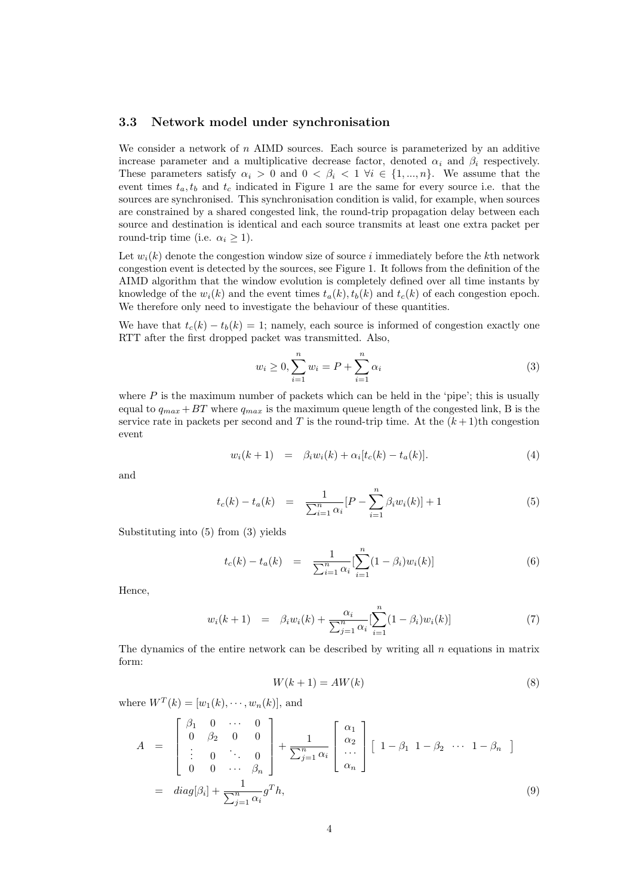#### 3.3 Network model under synchronisation

We consider a network of  $n$  AIMD sources. Each source is parameterized by an additive increase parameter and a multiplicative decrease factor, denoted  $\alpha_i$  and  $\beta_i$  respectively. These parameters satisfy  $\alpha_i > 0$  and  $0 < \beta_i < 1 \ \forall i \in \{1, ..., n\}$ . We assume that the event times  $t_a, t_b$  and  $t_c$  indicated in Figure 1 are the same for every source i.e. that the sources are synchronised. This synchronisation condition is valid, for example, when sources are constrained by a shared congested link, the round-trip propagation delay between each source and destination is identical and each source transmits at least one extra packet per round-trip time (i.e.  $\alpha_i \geq 1$ ).

Let  $w_i(k)$  denote the congestion window size of source i immediately before the kth network congestion event is detected by the sources, see Figure 1. It follows from the definition of the AIMD algorithm that the window evolution is completely defined over all time instants by knowledge of the  $w_i(k)$  and the event times  $t_a(k), t_b(k)$  and  $t_c(k)$  of each congestion epoch. We therefore only need to investigate the behaviour of these quantities.

We have that  $t_c(k) - t_b(k) = 1$ ; namely, each source is informed of congestion exactly one RTT after the first dropped packet was transmitted. Also,

$$
w_i \ge 0, \sum_{i=1}^n w_i = P + \sum_{i=1}^n \alpha_i
$$
\n(3)

where  $P$  is the maximum number of packets which can be held in the 'pipe'; this is usually equal to  $q_{max} + BT$  where  $q_{max}$  is the maximum queue length of the congested link, B is the service rate in packets per second and T is the round-trip time. At the  $(k+1)$ th congestion event

$$
w_i(k+1) = \beta_i w_i(k) + \alpha_i [t_c(k) - t_a(k)]. \tag{4}
$$

and

$$
t_c(k) - t_a(k) = \frac{1}{\sum_{i=1}^n \alpha_i} [P - \sum_{i=1}^n \beta_i w_i(k)] + 1
$$
 (5)

Substituting into (5) from (3) yields

$$
t_c(k) - t_a(k) = \frac{1}{\sum_{i=1}^n \alpha_i} \left[ \sum_{i=1}^n (1 - \beta_i) w_i(k) \right]
$$
 (6)

Hence,

$$
w_i(k+1) = \beta_i w_i(k) + \frac{\alpha_i}{\sum_{j=1}^n \alpha_i} \left[ \sum_{i=1}^n (1 - \beta_i) w_i(k) \right]
$$
(7)

The dynamics of the entire network can be described by writing all  $n$  equations in matrix form:

$$
W(k+1) = AW(k)
$$
\n(8)

where  $W^{T}(k) = [w_{1}(k), \dots, w_{n}(k)],$  and

$$
A = \begin{bmatrix} \beta_1 & 0 & \cdots & 0 \\ 0 & \beta_2 & 0 & 0 \\ \vdots & 0 & \ddots & 0 \\ 0 & 0 & \cdots & \beta_n \end{bmatrix} + \frac{1}{\sum_{j=1}^n \alpha_i} \begin{bmatrix} \alpha_1 \\ \alpha_2 \\ \vdots \\ \alpha_n \end{bmatrix} \begin{bmatrix} 1 - \beta_1 & 1 - \beta_2 & \cdots & 1 - \beta_n \end{bmatrix}
$$
  
=  $diag[\beta_i] + \frac{1}{\sum_{j=1}^n \alpha_i} g^T h,$  (9)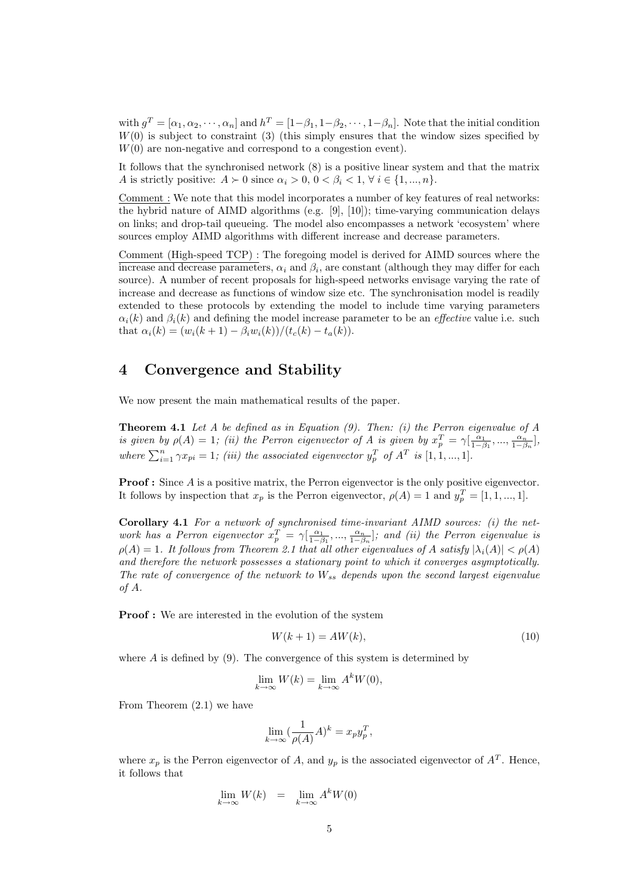with  $g^T = [\alpha_1, \alpha_2, \cdots, \alpha_n]$  and  $h^T = [1-\beta_1, 1-\beta_2, \cdots, 1-\beta_n]$ . Note that the initial condition  $W(0)$  is subject to constraint (3) (this simply ensures that the window sizes specified by  $W(0)$  are non-negative and correspond to a congestion event).

It follows that the synchronised network (8) is a positive linear system and that the matrix A is strictly positive:  $A \succ 0$  since  $\alpha_i > 0, 0 < \beta_i < 1, \forall i \in \{1, ..., n\}.$ 

Comment : We note that this model incorporates a number of key features of real networks: the hybrid nature of AIMD algorithms (e.g. [9], [10]); time-varying communication delays on links; and drop-tail queueing. The model also encompasses a network 'ecosystem' where sources employ AIMD algorithms with different increase and decrease parameters.

Comment (High-speed TCP) : The foregoing model is derived for AIMD sources where the increase and decrease parameters,  $\alpha_i$  and  $\beta_i$ , are constant (although they may differ for each source). A number of recent proposals for high-speed networks envisage varying the rate of increase and decrease as functions of window size etc. The synchronisation model is readily extended to these protocols by extending the model to include time varying parameters  $\alpha_i(k)$  and  $\beta_i(k)$  and defining the model increase parameter to be an *effective* value i.e. such that  $\alpha_i(k) = (w_i(k+1) - \beta_i w_i(k))/(t_c(k) - t_a(k)).$ 

### 4 Convergence and Stability

We now present the main mathematical results of the paper.

**Theorem 4.1** Let  $A$  be defined as in Equation  $(9)$ . Then:  $(i)$  the Perron eigenvalue of  $A$ is given by  $\rho(A) = 1$ ; (ii) the Perron eigenvector of A is given by  $x_p^T = \gamma \left[ \frac{\alpha_1}{1-\beta_1}, \dots, \frac{\alpha_n}{1-\beta_n} \right]$ , where  $\sum_{i=1}^{n} \gamma x_{pi} = 1$ ; (iii) the associated eigenvector  $y_{p}^{T}$  of  $A^{T}$  is  $[1, 1, ..., 1]$ .

**Proof :** Since A is a positive matrix, the Perron eigenvector is the only positive eigenvector. It follows by inspection that  $x_p$  is the Perron eigenvector,  $\rho(A) = 1$  and  $y_p^T = [1, 1, ..., 1]$ .

Corollary 4.1 For a network of synchronised time-invariant AIMD sources: (i) the network has a Perron eigenvector  $x_p^T = \gamma[\frac{\alpha_1}{1-\beta_1},...,\frac{\alpha_n}{1-\beta_n}]$ ; and (ii) the Perron eigenvalue is  $\rho(A) = 1$ . It follows from Theorem 2.1 that all other eigenvalues of A satisfy  $|\lambda_i(A)| < \rho(A)$ and therefore the network possesses a stationary point to which it converges asymptotically. The rate of convergence of the network to  $W_{ss}$  depends upon the second largest eigenvalue of A.

Proof : We are interested in the evolution of the system

$$
W(k+1) = AW(k),\tag{10}
$$

where  $A$  is defined by  $(9)$ . The convergence of this system is determined by

$$
\lim_{k \to \infty} W(k) = \lim_{k \to \infty} A^k W(0),
$$

From Theorem (2.1) we have

$$
\lim_{k \to \infty} \left( \frac{1}{\rho(A)} A \right)^k = x_p y_p^T,
$$

where  $x_p$  is the Perron eigenvector of A, and  $y_p$  is the associated eigenvector of  $A<sup>T</sup>$ . Hence, it follows that

$$
\lim_{k \to \infty} W(k) = \lim_{k \to \infty} A^k W(0)
$$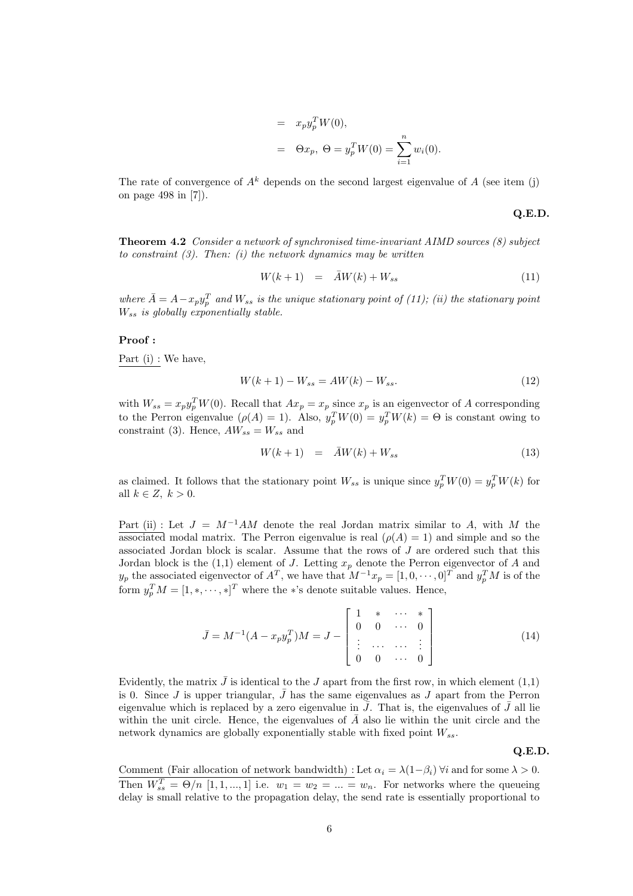= 
$$
x_p y_p^T W(0)
$$
,  
\n=  $\Theta x_p$ ,  $\Theta = y_p^T W(0) = \sum_{i=1}^n w_i(0)$ .

The rate of convergence of  $A^k$  depends on the second largest eigenvalue of A (see item (j) on page 498 in [7]).

#### Q.E.D.

Theorem 4.2 Consider a network of synchronised time-invariant AIMD sources (8) subject to constraint  $(3)$ . Then: (i) the network dynamics may be written

$$
W(k+1) = \bar{A}W(k) + W_{ss} \tag{11}
$$

where  $\bar{A} = A - x_p y_p^T$  and  $W_{ss}$  is the unique stationary point of (11); (ii) the stationary point  $W_{ss}$  is globally exponentially stable.

#### Proof :

Part (i) : We have,

$$
W(k+1) - W_{ss} = AW(k) - W_{ss}.
$$
\n(12)

with  $W_{ss} = x_p y_p^T W(0)$ . Recall that  $Ax_p = x_p$  since  $x_p$  is an eigenvector of A corresponding to the Perron eigenvalue  $(\rho(A) = 1)$ . Also,  $y_p^T W(0) = y_p^T W(k) = \Theta$  is constant owing to constraint (3). Hence,  $AW_{ss} = W_{ss}$  and

$$
W(k+1) = \bar{A}W(k) + W_{ss} \tag{13}
$$

as claimed. It follows that the stationary point  $W_{ss}$  is unique since  $y_p^T W(0) = y_p^T W(k)$  for all  $k \in Z, k > 0$ .

Part (ii) : Let  $J = M^{-1}AM$  denote the real Jordan matrix similar to A, with M the associated modal matrix. The Perron eigenvalue is real  $(\rho(A) = 1)$  and simple and so the associated Jordan block is scalar. Assume that the rows of J are ordered such that this Jordan block is the  $(1,1)$  element of J. Letting  $x_p$  denote the Perron eigenvector of A and  $y_p$  the associated eigenvector of  $A^T$ , we have that  $M^{-1}x_p = [1, 0, \cdots, 0]^T$  and  $y_p^T M$  is of the form  $y_p^T M = [1, \ast, \cdots, \ast]^T$  where the \*'s denote suitable values. Hence,

$$
\bar{J} = M^{-1}(A - x_p y_p^T)M = J - \begin{bmatrix} 1 & * & \cdots & * \\ 0 & 0 & \cdots & 0 \\ \vdots & \cdots & \cdots & \vdots \\ 0 & 0 & \cdots & 0 \end{bmatrix}
$$
(14)

Evidently, the matrix  $\bar{J}$  is identical to the J apart from the first row, in which element (1,1) is 0. Since J is upper triangular,  $\bar{J}$  has the same eigenvalues as J apart from the Perron eigenvalue which is replaced by a zero eigenvalue in  $\bar{J}$ . That is, the eigenvalues of  $\bar{J}$  all lie within the unit circle. Hence, the eigenvalues of  $\overline{A}$  also lie within the unit circle and the network dynamics are globally exponentially stable with fixed point  $W_{ss}$ .

#### Q.E.D.

Comment (Fair allocation of network bandwidth) : Let  $\alpha_i = \lambda(1-\beta_i)$   $\forall i$  and for some  $\lambda > 0$ . Then  $W_{ss}^T = \Theta/n$  [1, 1, ..., 1] i.e.  $w_1 = w_2 = ... = w_n$ . For networks where the queueing delay is small relative to the propagation delay, the send rate is essentially proportional to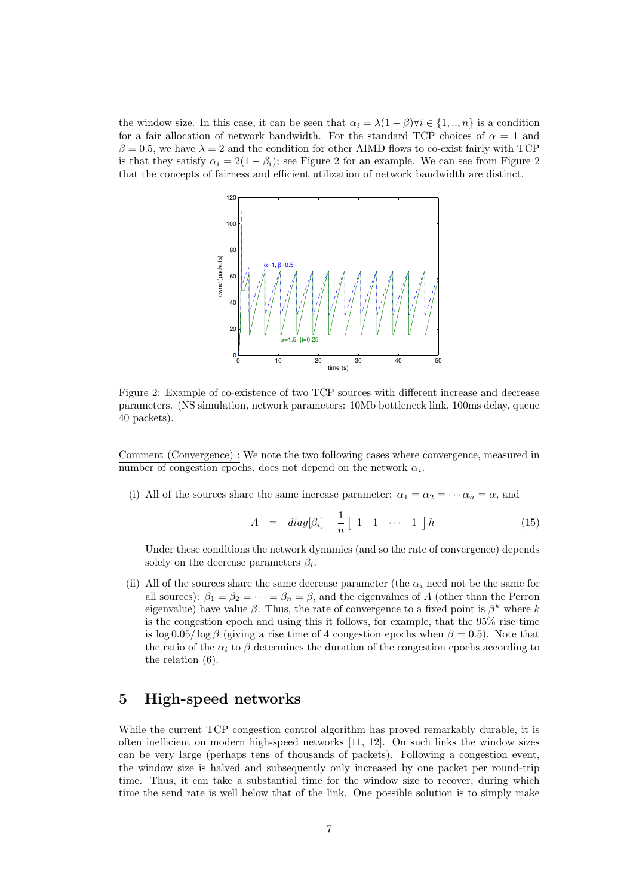the window size. In this case, it can be seen that  $\alpha_i = \lambda(1-\beta)\forall i \in \{1,..,n\}$  is a condition for a fair allocation of network bandwidth. For the standard TCP choices of  $\alpha = 1$  and  $\beta = 0.5$ , we have  $\lambda = 2$  and the condition for other AIMD flows to co-exist fairly with TCP is that they satisfy  $\alpha_i = 2(1 - \beta_i)$ ; see Figure 2 for an example. We can see from Figure 2 that the concepts of fairness and efficient utilization of network bandwidth are distinct.



Figure 2: Example of co-existence of two TCP sources with different increase and decrease parameters. (NS simulation, network parameters: 10Mb bottleneck link, 100ms delay, queue 40 packets).

Comment (Convergence) : We note the two following cases where convergence, measured in number of congestion epochs, does not depend on the network  $\alpha_i$ .

(i) All of the sources share the same increase parameter:  $\alpha_1 = \alpha_2 = \cdots = \alpha_n = \alpha$ , and

$$
A = diag[\beta_i] + \frac{1}{n} [1 \quad 1 \quad \cdots \quad 1] h \tag{15}
$$

Under these conditions the network dynamics (and so the rate of convergence) depends solely on the decrease parameters  $\beta_i$ .

(ii) All of the sources share the same decrease parameter (the  $\alpha_i$  need not be the same for all sources):  $\beta_1 = \beta_2 = \cdots = \beta_n = \beta$ , and the eigenvalues of A (other than the Perron eigenvalue) have value  $\beta$ . Thus, the rate of convergence to a fixed point is  $\beta^k$  where k is the congestion epoch and using this it follows, for example, that the 95% rise time is log 0.05/log β (giving a rise time of 4 congestion epochs when  $\beta = 0.5$ ). Note that the ratio of the  $\alpha_i$  to  $\beta$  determines the duration of the congestion epochs according to the relation (6).

#### 5 High-speed networks

While the current TCP congestion control algorithm has proved remarkably durable, it is often inefficient on modern high-speed networks [11, 12]. On such links the window sizes can be very large (perhaps tens of thousands of packets). Following a congestion event, the window size is halved and subsequently only increased by one packet per round-trip time. Thus, it can take a substantial time for the window size to recover, during which time the send rate is well below that of the link. One possible solution is to simply make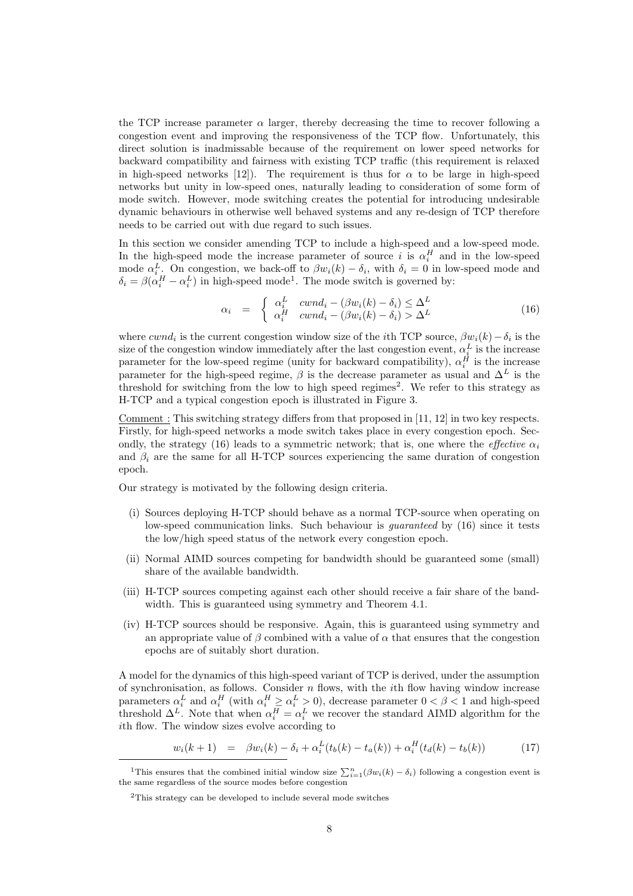the TCP increase parameter  $\alpha$  larger, thereby decreasing the time to recover following a congestion event and improving the responsiveness of the TCP flow. Unfortunately, this direct solution is inadmissable because of the requirement on lower speed networks for backward compatibility and fairness with existing TCP traffic (this requirement is relaxed in high-speed networks [12]). The requirement is thus for  $\alpha$  to be large in high-speed networks but unity in low-speed ones, naturally leading to consideration of some form of mode switch. However, mode switching creates the potential for introducing undesirable dynamic behaviours in otherwise well behaved systems and any re-design of TCP therefore needs to be carried out with due regard to such issues.

In this section we consider amending TCP to include a high-speed and a low-speed mode. In the high-speed mode the increase parameter of source i is  $\alpha_i^H$  and in the low-speed mode  $\alpha_i^L$ . On congestion, we back-off to  $\beta w_i(k) - \delta_i$ , with  $\delta_i = 0$  in low-speed mode and  $\delta_i = \beta(\alpha_i^H - \alpha_i^L)$  in high-speed mode<sup>1</sup>. The mode switch is governed by:

$$
\alpha_i = \begin{cases} \alpha_i^L & \text{cwnd}_i - (\beta w_i(k) - \delta_i) \leq \Delta^L \\ \alpha_i^H & \text{cwnd}_i - (\beta w_i(k) - \delta_i) > \Delta^L \end{cases} \tag{16}
$$

where  $cwnd_i$  is the current congestion window size of the *i*th TCP source,  $\beta w_i(k) - \delta_i$  is the size of the congestion window immediately after the last congestion event,  $\alpha_i^L$  is the increase size of the congestion window immediately after the last congestion event,  $\alpha_i$  is the increase parameter for the low-speed regime (unity for backward compatibility),  $\alpha_i^H$  is the increase parameter for the high-speed regime,  $\beta$  is the decrease parameter as usual and  $\Delta^L$  is the threshold for switching from the low to high speed regimes<sup>2</sup>. We refer to this strategy as H-TCP and a typical congestion epoch is illustrated in Figure 3.

Comment : This switching strategy differs from that proposed in [11, 12] in two key respects. Firstly, for high-speed networks a mode switch takes place in every congestion epoch. Secondly, the strategy (16) leads to a symmetric network; that is, one where the *effective*  $\alpha_i$ and  $\beta_i$  are the same for all H-TCP sources experiencing the same duration of congestion epoch.

Our strategy is motivated by the following design criteria.

- (i) Sources deploying H-TCP should behave as a normal TCP-source when operating on low-speed communication links. Such behaviour is *quaranteed* by (16) since it tests the low/high speed status of the network every congestion epoch.
- (ii) Normal AIMD sources competing for bandwidth should be guaranteed some (small) share of the available bandwidth.
- (iii) H-TCP sources competing against each other should receive a fair share of the bandwidth. This is guaranteed using symmetry and Theorem 4.1.
- (iv) H-TCP sources should be responsive. Again, this is guaranteed using symmetry and an appropriate value of  $\beta$  combined with a value of  $\alpha$  that ensures that the congestion epochs are of suitably short duration.

A model for the dynamics of this high-speed variant of TCP is derived, under the assumption of synchronisation, as follows. Consider  $n$  flows, with the *i*th flow having window increase parameters  $\alpha_i^L$  and  $\alpha_i^H$  (with  $\alpha_i^H \ge \alpha_i^L > 0$ ), decrease parameter  $0 < \beta < 1$  and high-speed threshold  $\Delta^L$ . Note that when  $\alpha_i^H = \alpha_i^L$  we recover the standard AIMD algorithm for the ith flow. The window sizes evolve according to

$$
w_i(k+1) = \beta w_i(k) - \delta_i + \alpha_i^L(t_b(k) - t_a(k)) + \alpha_i^H(t_d(k) - t_b(k))
$$
 (17)

<sup>&</sup>lt;sup>1</sup>This ensures that the combined initial window size  $\sum_{i=1}^{n}(\beta w_i(k) - \delta_i)$  following a congestion event is the same regardless of the source modes before congestion

<sup>2</sup>This strategy can be developed to include several mode switches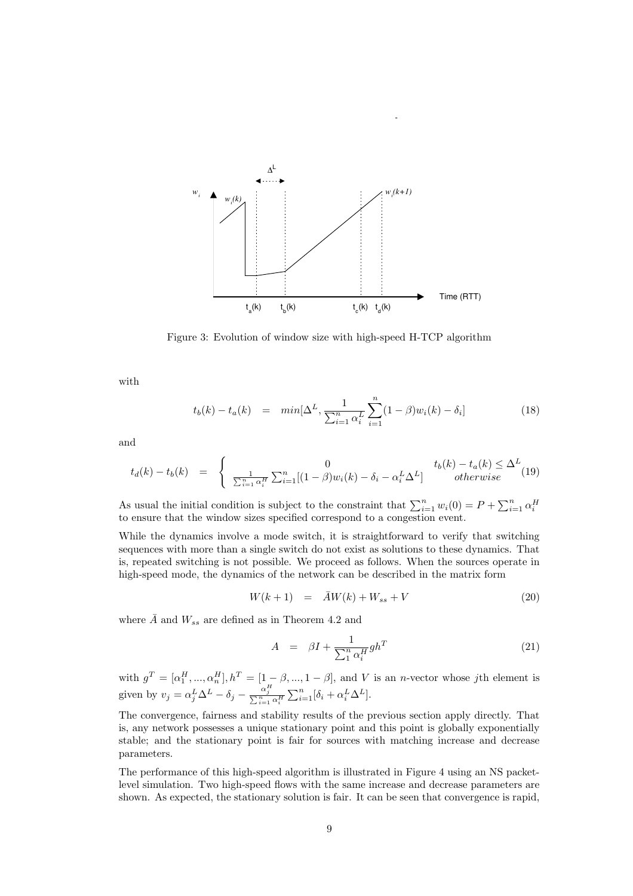

Figure 3: Evolution of window size with high-speed H-TCP algorithm

with

$$
t_b(k) - t_a(k) = \min[\Delta^L, \frac{1}{\sum_{i=1}^n \alpha_i^L} \sum_{i=1}^n (1 - \beta) w_i(k) - \delta_i]
$$
 (18)

and

$$
t_d(k) - t_b(k) = \begin{cases} 0 & t_b(k) - t_a(k) \leq \Delta^L \\ \frac{1}{\sum_{i=1}^n \alpha_i^H} \sum_{i=1}^n [(1-\beta)w_i(k) - \delta_i - \alpha_i^L \Delta^L] & otherwise \end{cases} \tag{19}
$$

As usual the initial condition is subject to the constraint that  $\sum_{i=1}^{n} w_i(0) = P + \sum_{i=1}^{n} \alpha_i^H$  to ensure that the window sizes specified correspond to a congestion event.

While the dynamics involve a mode switch, it is straightforward to verify that switching sequences with more than a single switch do not exist as solutions to these dynamics. That is, repeated switching is not possible. We proceed as follows. When the sources operate in high-speed mode, the dynamics of the network can be described in the matrix form

$$
W(k+1) = \bar{A}W(k) + W_{ss} + V \tag{20}
$$

where  $\overline{A}$  and  $W_{ss}$  are defined as in Theorem 4.2 and

$$
A = \beta I + \frac{1}{\sum_{1}^{n} \alpha_i^H} gh^T \tag{21}
$$

with  $g^T = [\alpha_1^H, ..., \alpha_n^H], h^T = [1 - \beta, ..., 1 - \beta]$ , and V is an *n*-vector whose jth element is given by  $v_j = \alpha_j^L \Delta^L - \delta_j - \frac{\alpha_j^H}{\sum_{i=1}^n \alpha_i^H} \sum_{i=1}^n [\delta_i + \alpha_i^L \Delta^L].$ 

The convergence, fairness and stability results of the previous section apply directly. That is, any network possesses a unique stationary point and this point is globally exponentially stable; and the stationary point is fair for sources with matching increase and decrease parameters.

The performance of this high-speed algorithm is illustrated in Figure 4 using an NS packetlevel simulation. Two high-speed flows with the same increase and decrease parameters are shown. As expected, the stationary solution is fair. It can be seen that convergence is rapid,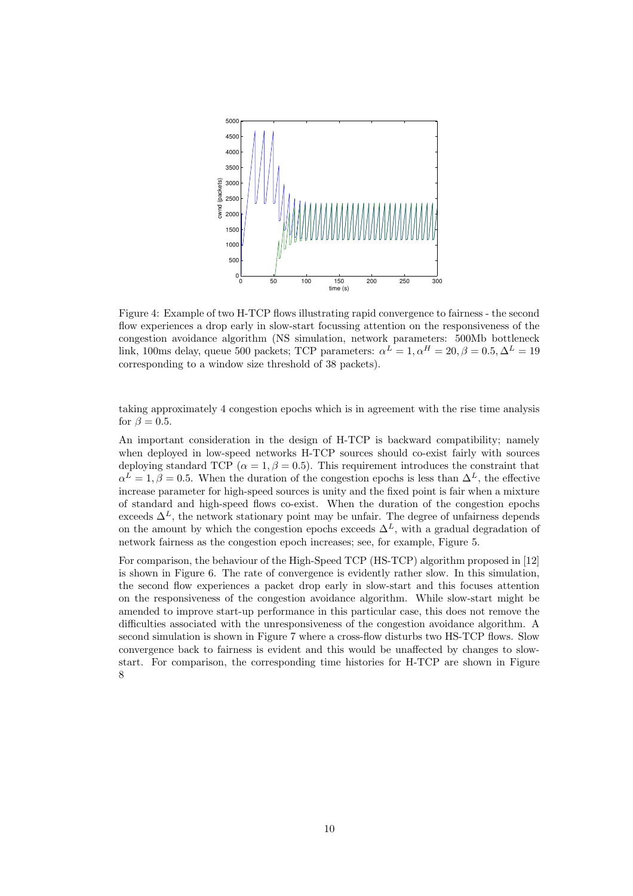

Figure 4: Example of two H-TCP flows illustrating rapid convergence to fairness - the second flow experiences a drop early in slow-start focussing attention on the responsiveness of the congestion avoidance algorithm (NS simulation, network parameters: 500Mb bottleneck link, 100ms delay, queue 500 packets; TCP parameters:  $\alpha^L = 1, \alpha^H = 20, \beta = 0.5, \Delta^L = 19$ corresponding to a window size threshold of 38 packets).

taking approximately 4 congestion epochs which is in agreement with the rise time analysis for  $\beta = 0.5$ .

An important consideration in the design of H-TCP is backward compatibility; namely when deployed in low-speed networks H-TCP sources should co-exist fairly with sources deploying standard TCP ( $\alpha = 1, \beta = 0.5$ ). This requirement introduces the constraint that  $\alpha^L = 1, \beta = 0.5$ . When the duration of the congestion epochs is less than  $\Delta^L$ , the effective increase parameter for high-speed sources is unity and the fixed point is fair when a mixture of standard and high-speed flows co-exist. When the duration of the congestion epochs exceeds  $\Delta^L$ , the network stationary point may be unfair. The degree of unfairness depends on the amount by which the congestion epochs exceeds  $\Delta^L$ , with a gradual degradation of network fairness as the congestion epoch increases; see, for example, Figure 5.

For comparison, the behaviour of the High-Speed TCP (HS-TCP) algorithm proposed in [12] is shown in Figure 6. The rate of convergence is evidently rather slow. In this simulation, the second flow experiences a packet drop early in slow-start and this focuses attention on the responsiveness of the congestion avoidance algorithm. While slow-start might be amended to improve start-up performance in this particular case, this does not remove the difficulties associated with the unresponsiveness of the congestion avoidance algorithm. A second simulation is shown in Figure 7 where a cross-flow disturbs two HS-TCP flows. Slow convergence back to fairness is evident and this would be unaffected by changes to slowstart. For comparison, the corresponding time histories for H-TCP are shown in Figure 8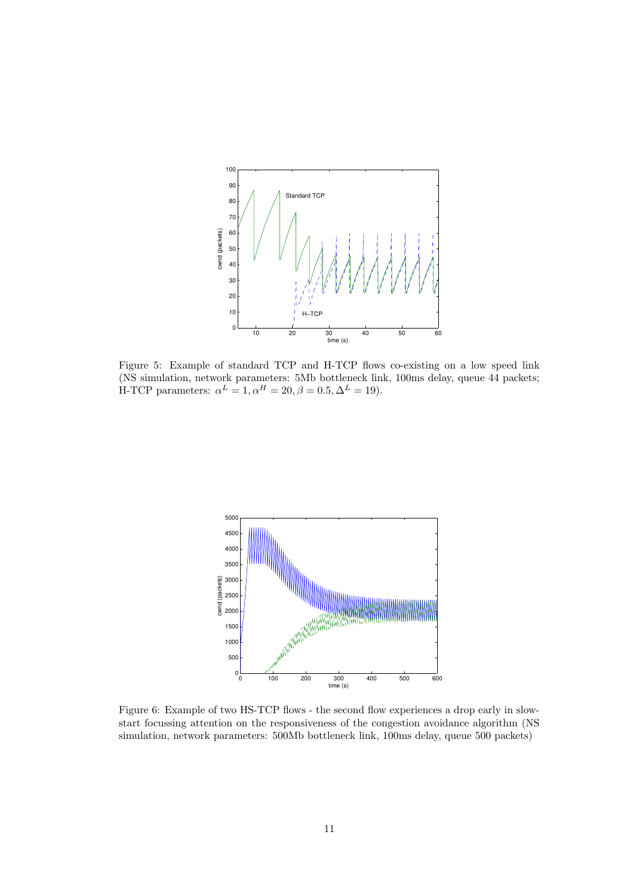

Figure 5: Example of standard TCP and H-TCP flows co-existing on a low speed link (NS simulation, network parameters: 5Mb bottleneck link, 100ms delay, queue 44 packets; H-TCP parameters:  $\alpha^L = 1, \alpha^H = 20, \beta = 0.5, \Delta^L = 19$ .



Figure 6: Example of two HS-TCP flows - the second flow experiences a drop early in slowstart focussing attention on the responsiveness of the congestion avoidance algorithm (NS simulation, network parameters: 500Mb bottleneck link, 100ms delay, queue 500 packets)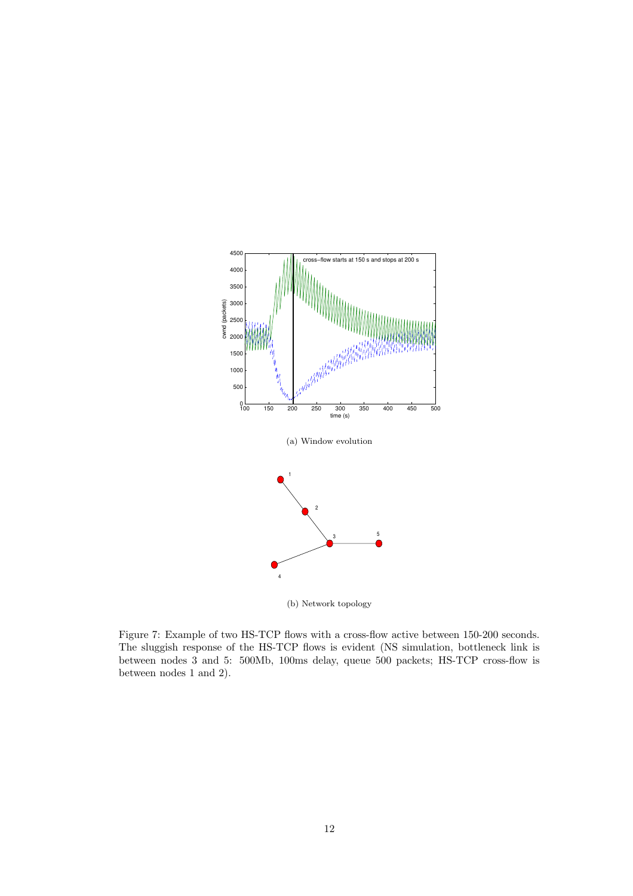

(b) Network topology

Figure 7: Example of two HS-TCP flows with a cross-flow active between 150-200 seconds. The sluggish response of the HS-TCP flows is evident (NS simulation, bottleneck link is between nodes 3 and 5: 500Mb, 100ms delay, queue 500 packets; HS-TCP cross-flow is between nodes 1 and 2).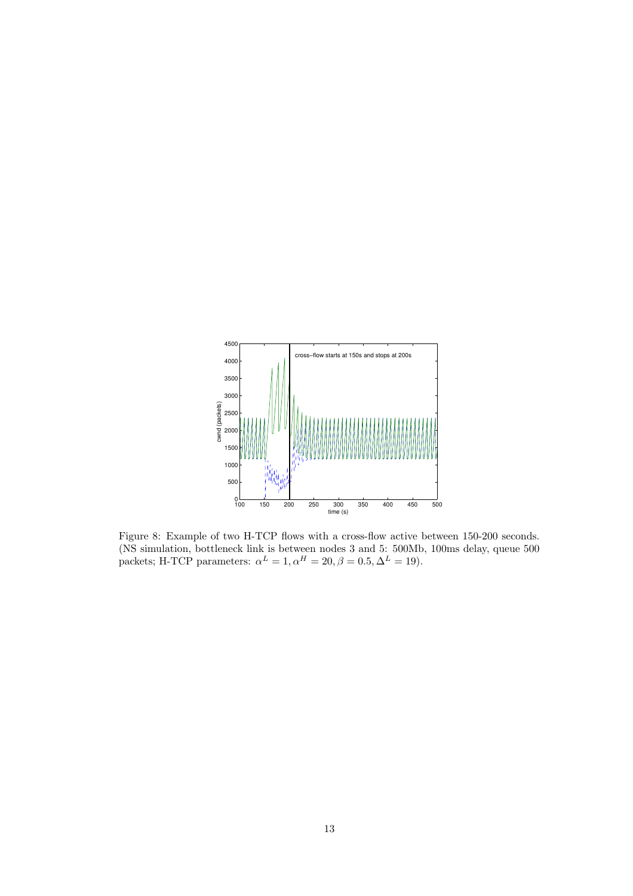

Figure 8: Example of two H-TCP flows with a cross-flow active between 150-200 seconds. (NS simulation, bottleneck link is between nodes 3 and 5: 500Mb, 100ms delay, queue 500 packets; H-TCP parameters:  $\alpha^L = 1, \alpha^H = 20, \beta = 0.5, \Delta^L = 19$ .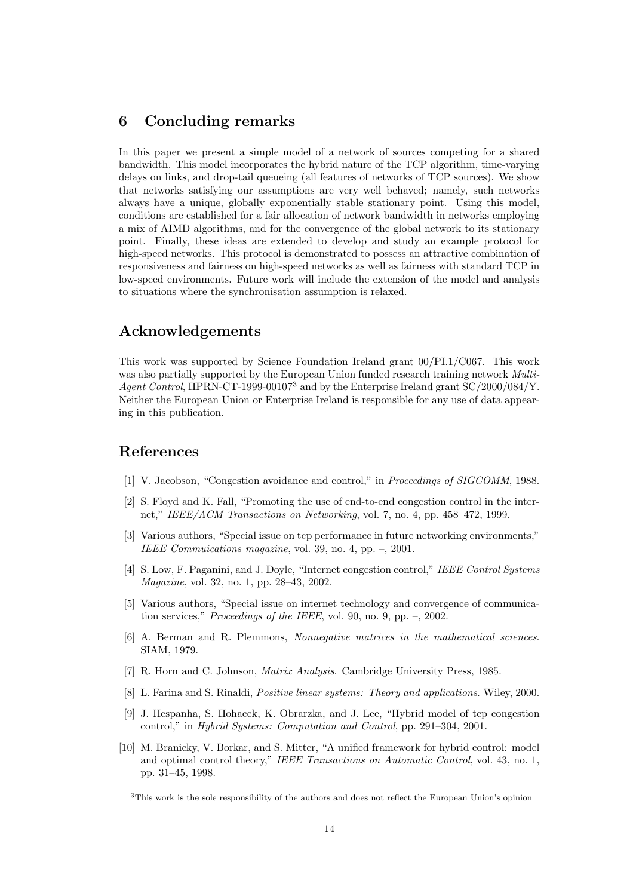### 6 Concluding remarks

In this paper we present a simple model of a network of sources competing for a shared bandwidth. This model incorporates the hybrid nature of the TCP algorithm, time-varying delays on links, and drop-tail queueing (all features of networks of TCP sources). We show that networks satisfying our assumptions are very well behaved; namely, such networks always have a unique, globally exponentially stable stationary point. Using this model, conditions are established for a fair allocation of network bandwidth in networks employing a mix of AIMD algorithms, and for the convergence of the global network to its stationary point. Finally, these ideas are extended to develop and study an example protocol for high-speed networks. This protocol is demonstrated to possess an attractive combination of responsiveness and fairness on high-speed networks as well as fairness with standard TCP in low-speed environments. Future work will include the extension of the model and analysis to situations where the synchronisation assumption is relaxed.

# Acknowledgements

This work was supported by Science Foundation Ireland grant 00/PI.1/C067. This work was also partially supported by the European Union funded research training network *Multi-*Agent Control, HPRN-CT-1999-00107<sup>3</sup> and by the Enterprise Ireland grant SC/2000/084/Y. Neither the European Union or Enterprise Ireland is responsible for any use of data appearing in this publication.

### References

- [1] V. Jacobson, "Congestion avoidance and control," in Proceedings of SIGCOMM, 1988.
- [2] S. Floyd and K. Fall, "Promoting the use of end-to-end congestion control in the internet," IEEE/ACM Transactions on Networking, vol. 7, no. 4, pp. 458–472, 1999.
- [3] Various authors, "Special issue on tcp performance in future networking environments," IEEE Commuications magazine, vol. 39, no. 4, pp. –, 2001.
- [4] S. Low, F. Paganini, and J. Doyle, "Internet congestion control," IEEE Control Systems Magazine, vol. 32, no. 1, pp. 28–43, 2002.
- [5] Various authors, "Special issue on internet technology and convergence of communication services," *Proceedings of the IEEE*, vol. 90, no. 9, pp. –, 2002.
- [6] A. Berman and R. Plemmons, Nonnegative matrices in the mathematical sciences. SIAM, 1979.
- [7] R. Horn and C. Johnson, Matrix Analysis. Cambridge University Press, 1985.
- [8] L. Farina and S. Rinaldi, Positive linear systems: Theory and applications. Wiley, 2000.
- [9] J. Hespanha, S. Hohacek, K. Obrarzka, and J. Lee, "Hybrid model of tcp congestion control," in Hybrid Systems: Computation and Control, pp. 291–304, 2001.
- [10] M. Branicky, V. Borkar, and S. Mitter, "A unified framework for hybrid control: model and optimal control theory," IEEE Transactions on Automatic Control, vol. 43, no. 1, pp. 31–45, 1998.

<sup>&</sup>lt;sup>3</sup>This work is the sole responsibility of the authors and does not reflect the European Union's opinion